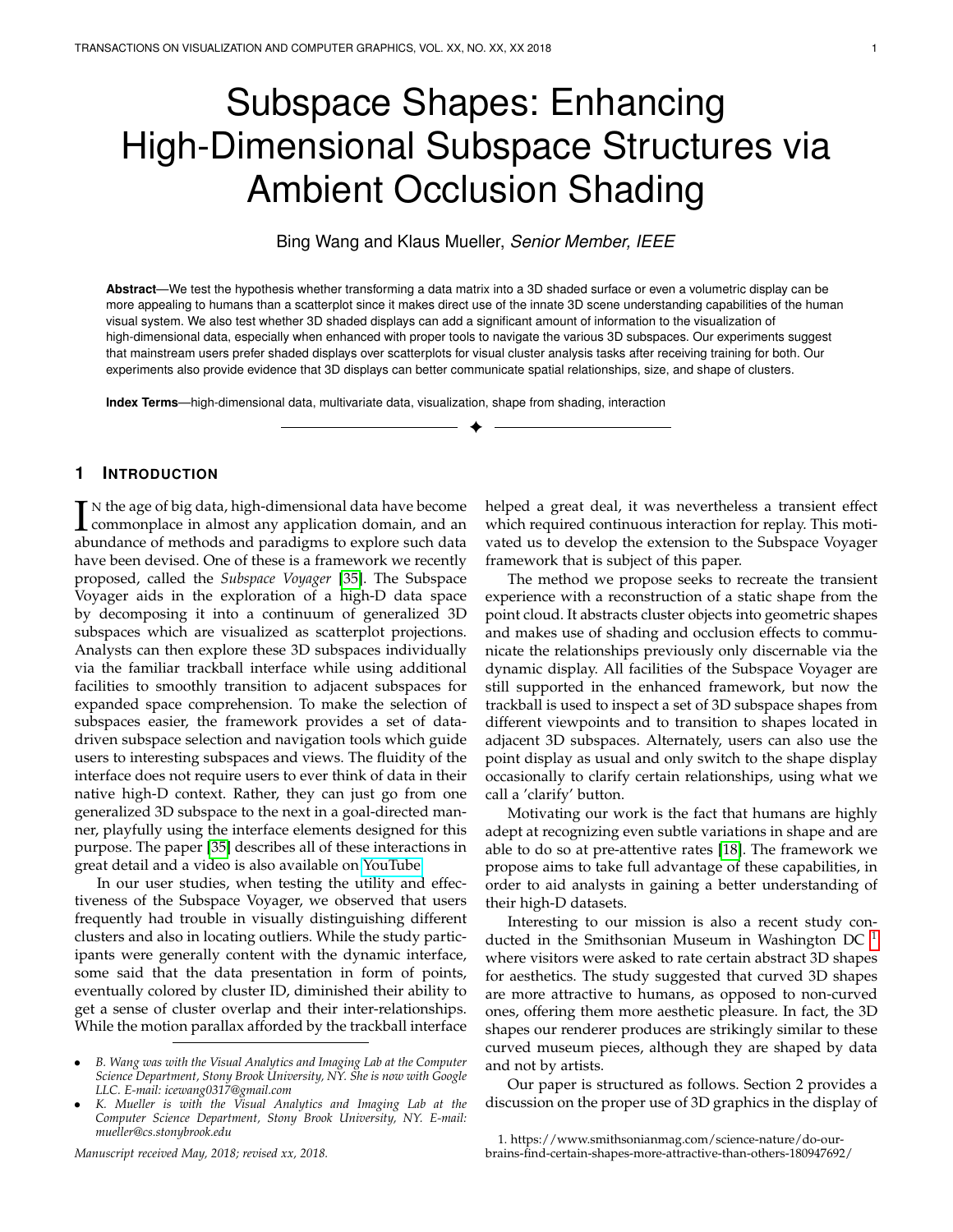# Subspace Shapes: Enhancing High-Dimensional Subspace Structures via Ambient Occlusion Shading

Bing Wang and Klaus Mueller, *Senior Member, IEEE*

**Abstract**—We test the hypothesis whether transforming a data matrix into a 3D shaded surface or even a volumetric display can be more appealing to humans than a scatterplot since it makes direct use of the innate 3D scene understanding capabilities of the human visual system. We also test whether 3D shaded displays can add a significant amount of information to the visualization of high-dimensional data, especially when enhanced with proper tools to navigate the various 3D subspaces. Our experiments suggest that mainstream users prefer shaded displays over scatterplots for visual cluster analysis tasks after receiving training for both. Our experiments also provide evidence that 3D displays can better communicate spatial relationships, size, and shape of clusters.

✦

**Index Terms**—high-dimensional data, multivariate data, visualization, shape from shading, interaction

# **1 INTRODUCTION**

In the age of big data, high-dimensional data have become<br>commonplace in almost any application domain, and an<br>abundance of methods and paradisms to explore such data  $\blacksquare$  N the age of big data, high-dimensional data have become abundance of methods and paradigms to explore such data have been devised. One of these is a framework we recently proposed, called the *Subspace Voyager* [\[35\]](#page-7-0). The Subspace Voyager aids in the exploration of a high-D data space by decomposing it into a continuum of generalized 3D subspaces which are visualized as scatterplot projections. Analysts can then explore these 3D subspaces individually via the familiar trackball interface while using additional facilities to smoothly transition to adjacent subspaces for expanded space comprehension. To make the selection of subspaces easier, the framework provides a set of datadriven subspace selection and navigation tools which guide users to interesting subspaces and views. The fluidity of the interface does not require users to ever think of data in their native high-D context. Rather, they can just go from one generalized 3D subspace to the next in a goal-directed manner, playfully using the interface elements designed for this purpose. The paper [\[35\]](#page-7-0) describes all of these interactions in great detail and a video is also available on [YouTube](https://www.youtube.com/watch?v=c-yKtajfGQE&t=65s)

In our user studies, when testing the utility and effectiveness of the Subspace Voyager, we observed that users frequently had trouble in visually distinguishing different clusters and also in locating outliers. While the study participants were generally content with the dynamic interface, some said that the data presentation in form of points, eventually colored by cluster ID, diminished their ability to get a sense of cluster overlap and their inter-relationships. While the motion parallax afforded by the trackball interface

*Manuscript received May, 2018; revised xx, 2018.*

helped a great deal, it was nevertheless a transient effect which required continuous interaction for replay. This motivated us to develop the extension to the Subspace Voyager framework that is subject of this paper.

The method we propose seeks to recreate the transient experience with a reconstruction of a static shape from the point cloud. It abstracts cluster objects into geometric shapes and makes use of shading and occlusion effects to communicate the relationships previously only discernable via the dynamic display. All facilities of the Subspace Voyager are still supported in the enhanced framework, but now the trackball is used to inspect a set of 3D subspace shapes from different viewpoints and to transition to shapes located in adjacent 3D subspaces. Alternately, users can also use the point display as usual and only switch to the shape display occasionally to clarify certain relationships, using what we call a 'clarify' button.

Motivating our work is the fact that humans are highly adept at recognizing even subtle variations in shape and are able to do so at pre-attentive rates [\[18\]](#page-7-1). The framework we propose aims to take full advantage of these capabilities, in order to aid analysts in gaining a better understanding of their high-D datasets.

Interesting to our mission is also a recent study conducted in the Smithsonian Museum in Washington DC  $<sup>1</sup>$  $<sup>1</sup>$  $<sup>1</sup>$ </sup> where visitors were asked to rate certain abstract 3D shapes for aesthetics. The study suggested that curved 3D shapes are more attractive to humans, as opposed to non-curved ones, offering them more aesthetic pleasure. In fact, the 3D shapes our renderer produces are strikingly similar to these curved museum pieces, although they are shaped by data and not by artists.

Our paper is structured as follows. Section 2 provides a discussion on the proper use of 3D graphics in the display of

<sup>•</sup> *B. Wang was with the Visual Analytics and Imaging Lab at the Computer Science Department, Stony Brook University, NY. She is now with Google LLC. E-mail: icewang0317@gmail.com*

<sup>•</sup> *K. Mueller is with the Visual Analytics and Imaging Lab at the Computer Science Department, Stony Brook University, NY. E-mail: mueller@cs.stonybrook.edu*

<span id="page-0-0"></span><sup>1.</sup> https://www.smithsonianmag.com/science-nature/do-ourbrains-find-certain-shapes-more-attractive-than-others-180947692/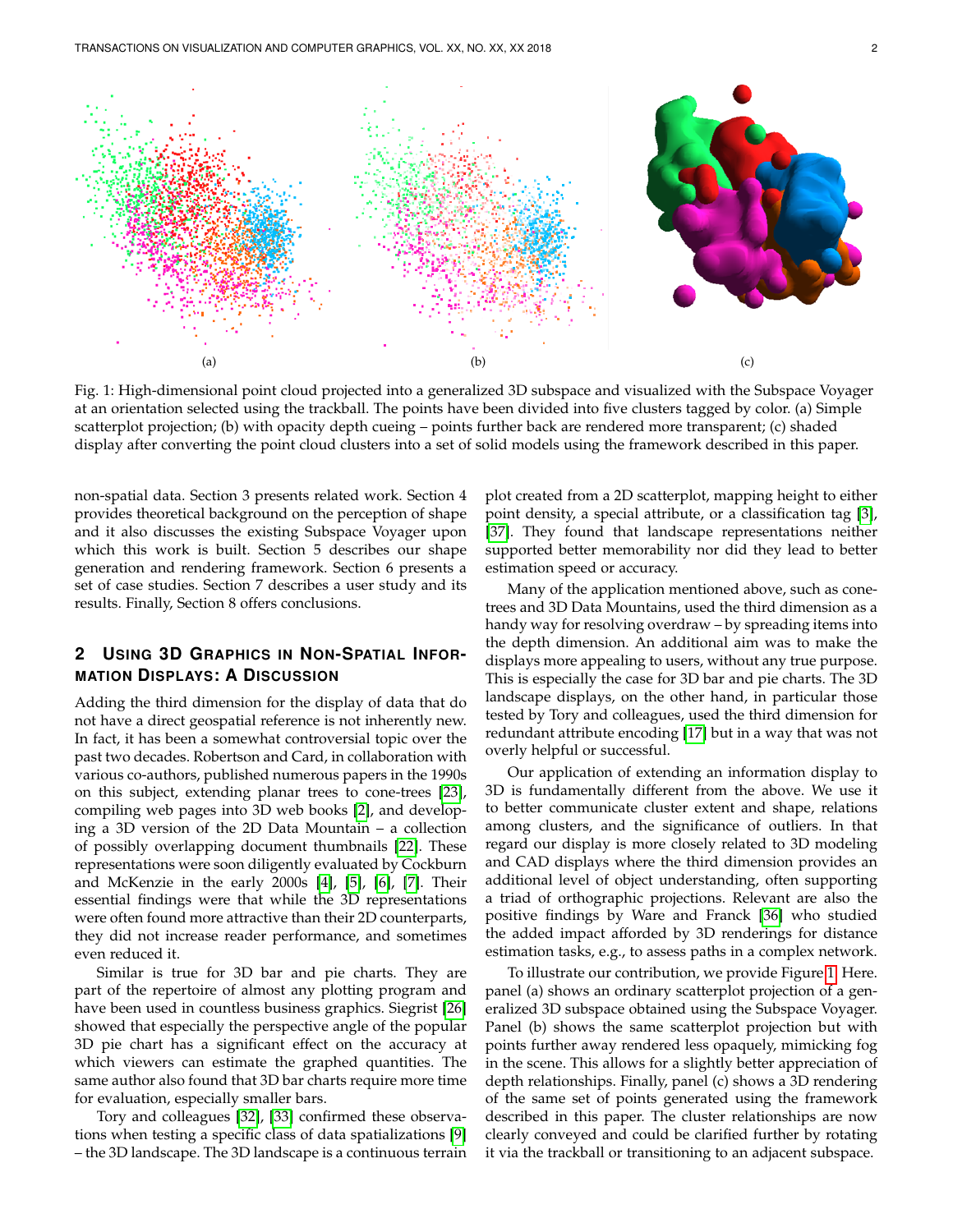<span id="page-1-0"></span>TRANSACTIONS ON VISUALIZATION AND COMPUTER GRAPHICS, VOL. XX, NO. XX, XX 2018 2



Fig. 1: High-dimensional point cloud projected into a generalized 3D subspace and visualized with the Subspace Voyager at an orientation selected using the trackball. The points have been divided into five clusters tagged by color. (a) Simple scatterplot projection; (b) with opacity depth cueing – points further back are rendered more transparent; (c) shaded display after converting the point cloud clusters into a set of solid models using the framework described in this paper.

non-spatial data. Section 3 presents related work. Section 4 provides theoretical background on the perception of shape and it also discusses the existing Subspace Voyager upon which this work is built. Section 5 describes our shape generation and rendering framework. Section 6 presents a set of case studies. Section 7 describes a user study and its results. Finally, Section 8 offers conclusions.

# **2 USING 3D GRAPHICS IN NON-SPATIAL INFOR-MATION DISPLAYS: A DISCUSSION**

Adding the third dimension for the display of data that do not have a direct geospatial reference is not inherently new. In fact, it has been a somewhat controversial topic over the past two decades. Robertson and Card, in collaboration with various co-authors, published numerous papers in the 1990s on this subject, extending planar trees to cone-trees [\[23\]](#page-7-2), compiling web pages into 3D web books [\[2\]](#page-7-3), and developing a 3D version of the 2D Data Mountain – a collection of possibly overlapping document thumbnails [\[22\]](#page-7-4). These representations were soon diligently evaluated by Cockburn and McKenzie in the early 2000s [\[4\]](#page-7-5), [\[5\]](#page-7-6), [\[6\]](#page-7-7), [\[7\]](#page-7-8). Their essential findings were that while the 3D representations were often found more attractive than their 2D counterparts, they did not increase reader performance, and sometimes even reduced it.

Similar is true for 3D bar and pie charts. They are part of the repertoire of almost any plotting program and have been used in countless business graphics. Siegrist [\[26\]](#page-7-9) showed that especially the perspective angle of the popular 3D pie chart has a significant effect on the accuracy at which viewers can estimate the graphed quantities. The same author also found that 3D bar charts require more time for evaluation, especially smaller bars.

Tory and colleagues [\[32\]](#page-7-10), [\[33\]](#page-7-11) confirmed these observations when testing a specific class of data spatializations [\[9\]](#page-7-12) – the 3D landscape. The 3D landscape is a continuous terrain plot created from a 2D scatterplot, mapping height to either point density, a special attribute, or a classification tag [\[3\]](#page-7-13), [\[37\]](#page-7-14). They found that landscape representations neither supported better memorability nor did they lead to better estimation speed or accuracy.

Many of the application mentioned above, such as conetrees and 3D Data Mountains, used the third dimension as a handy way for resolving overdraw – by spreading items into the depth dimension. An additional aim was to make the displays more appealing to users, without any true purpose. This is especially the case for 3D bar and pie charts. The 3D landscape displays, on the other hand, in particular those tested by Tory and colleagues, used the third dimension for redundant attribute encoding [\[17\]](#page-7-15) but in a way that was not overly helpful or successful.

Our application of extending an information display to 3D is fundamentally different from the above. We use it to better communicate cluster extent and shape, relations among clusters, and the significance of outliers. In that regard our display is more closely related to 3D modeling and CAD displays where the third dimension provides an additional level of object understanding, often supporting a triad of orthographic projections. Relevant are also the positive findings by Ware and Franck [\[36\]](#page-7-16) who studied the added impact afforded by 3D renderings for distance estimation tasks, e.g., to assess paths in a complex network.

To illustrate our contribution, we provide Figure [1.](#page-1-0) Here. panel (a) shows an ordinary scatterplot projection of a generalized 3D subspace obtained using the Subspace Voyager. Panel (b) shows the same scatterplot projection but with points further away rendered less opaquely, mimicking fog in the scene. This allows for a slightly better appreciation of depth relationships. Finally, panel (c) shows a 3D rendering of the same set of points generated using the framework described in this paper. The cluster relationships are now clearly conveyed and could be clarified further by rotating it via the trackball or transitioning to an adjacent subspace.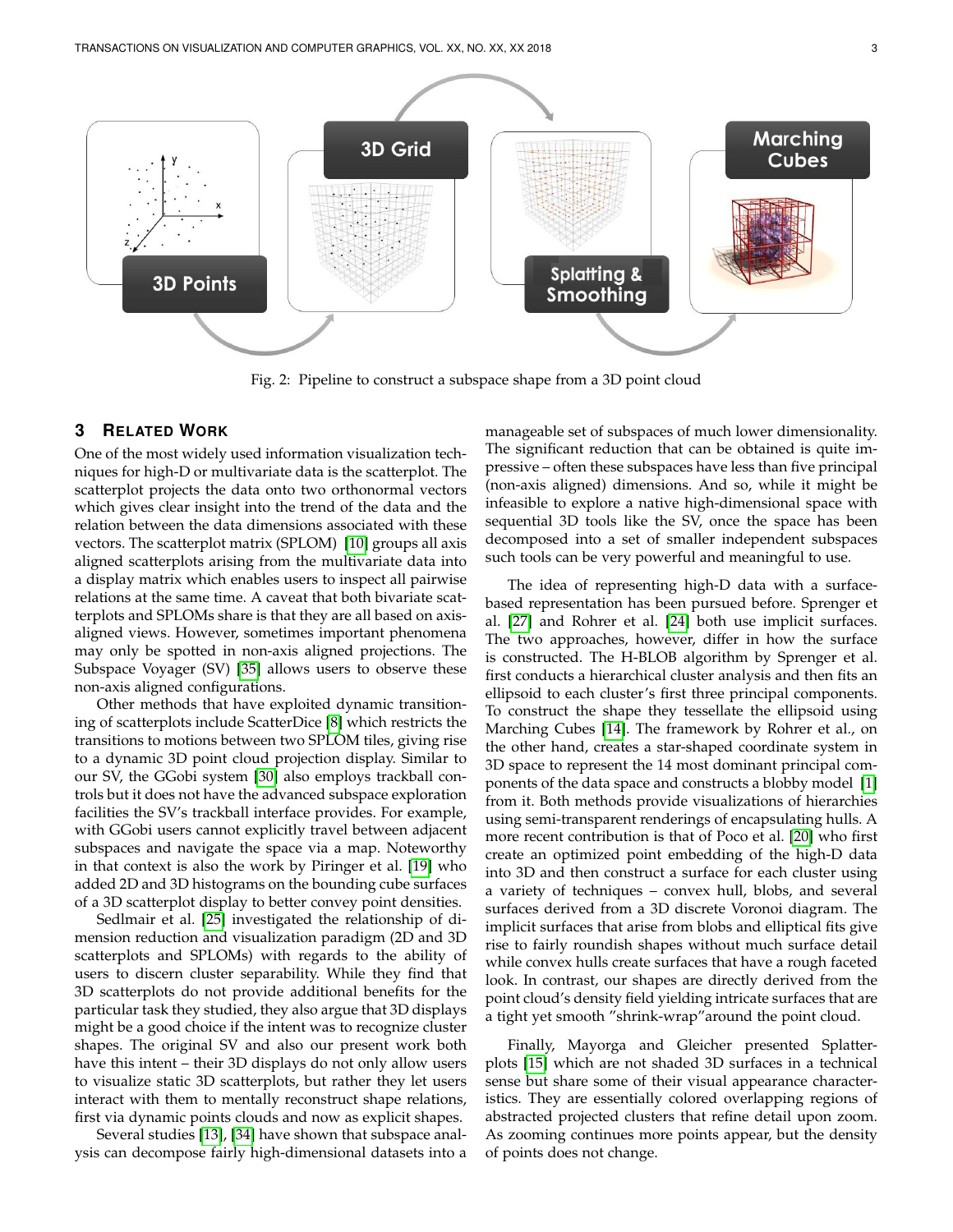<span id="page-2-0"></span>

Fig. 2: Pipeline to construct a subspace shape from a 3D point cloud

# **3 RELATED WORK**

One of the most widely used information visualization techniques for high-D or multivariate data is the scatterplot. The scatterplot projects the data onto two orthonormal vectors which gives clear insight into the trend of the data and the relation between the data dimensions associated with these vectors. The scatterplot matrix (SPLOM) [\[10\]](#page-7-17) groups all axis aligned scatterplots arising from the multivariate data into a display matrix which enables users to inspect all pairwise relations at the same time. A caveat that both bivariate scatterplots and SPLOMs share is that they are all based on axisaligned views. However, sometimes important phenomena may only be spotted in non-axis aligned projections. The Subspace Voyager (SV) [\[35\]](#page-7-0) allows users to observe these non-axis aligned configurations.

Other methods that have exploited dynamic transitioning of scatterplots include ScatterDice [\[8\]](#page-7-18) which restricts the transitions to motions between two SPLOM tiles, giving rise to a dynamic 3D point cloud projection display. Similar to our SV, the GGobi system [\[30\]](#page-7-19) also employs trackball controls but it does not have the advanced subspace exploration facilities the SV's trackball interface provides. For example, with GGobi users cannot explicitly travel between adjacent subspaces and navigate the space via a map. Noteworthy in that context is also the work by Piringer et al. [\[19\]](#page-7-20) who added 2D and 3D histograms on the bounding cube surfaces of a 3D scatterplot display to better convey point densities.

Sedlmair et al. [\[25\]](#page-7-21) investigated the relationship of dimension reduction and visualization paradigm (2D and 3D scatterplots and SPLOMs) with regards to the ability of users to discern cluster separability. While they find that 3D scatterplots do not provide additional benefits for the particular task they studied, they also argue that 3D displays might be a good choice if the intent was to recognize cluster shapes. The original SV and also our present work both have this intent – their 3D displays do not only allow users to visualize static 3D scatterplots, but rather they let users interact with them to mentally reconstruct shape relations, first via dynamic points clouds and now as explicit shapes.

Several studies [\[13\]](#page-7-22), [\[34\]](#page-7-23) have shown that subspace analysis can decompose fairly high-dimensional datasets into a manageable set of subspaces of much lower dimensionality. The significant reduction that can be obtained is quite impressive – often these subspaces have less than five principal (non-axis aligned) dimensions. And so, while it might be infeasible to explore a native high-dimensional space with sequential 3D tools like the SV, once the space has been decomposed into a set of smaller independent subspaces such tools can be very powerful and meaningful to use.

The idea of representing high-D data with a surfacebased representation has been pursued before. Sprenger et al. [\[27\]](#page-7-24) and Rohrer et al. [\[24\]](#page-7-25) both use implicit surfaces. The two approaches, however, differ in how the surface is constructed. The H-BLOB algorithm by Sprenger et al. first conducts a hierarchical cluster analysis and then fits an ellipsoid to each cluster's first three principal components. To construct the shape they tessellate the ellipsoid using Marching Cubes [\[14\]](#page-7-26). The framework by Rohrer et al., on the other hand, creates a star-shaped coordinate system in 3D space to represent the 14 most dominant principal components of the data space and constructs a blobby model [\[1\]](#page-7-27) from it. Both methods provide visualizations of hierarchies using semi-transparent renderings of encapsulating hulls. A more recent contribution is that of Poco et al. [\[20\]](#page-7-28) who first create an optimized point embedding of the high-D data into 3D and then construct a surface for each cluster using a variety of techniques – convex hull, blobs, and several surfaces derived from a 3D discrete Voronoi diagram. The implicit surfaces that arise from blobs and elliptical fits give rise to fairly roundish shapes without much surface detail while convex hulls create surfaces that have a rough faceted look. In contrast, our shapes are directly derived from the point cloud's density field yielding intricate surfaces that are a tight yet smooth "shrink-wrap"around the point cloud.

Finally, Mayorga and Gleicher presented Splatterplots [\[15\]](#page-7-29) which are not shaded 3D surfaces in a technical sense but share some of their visual appearance characteristics. They are essentially colored overlapping regions of abstracted projected clusters that refine detail upon zoom. As zooming continues more points appear, but the density of points does not change.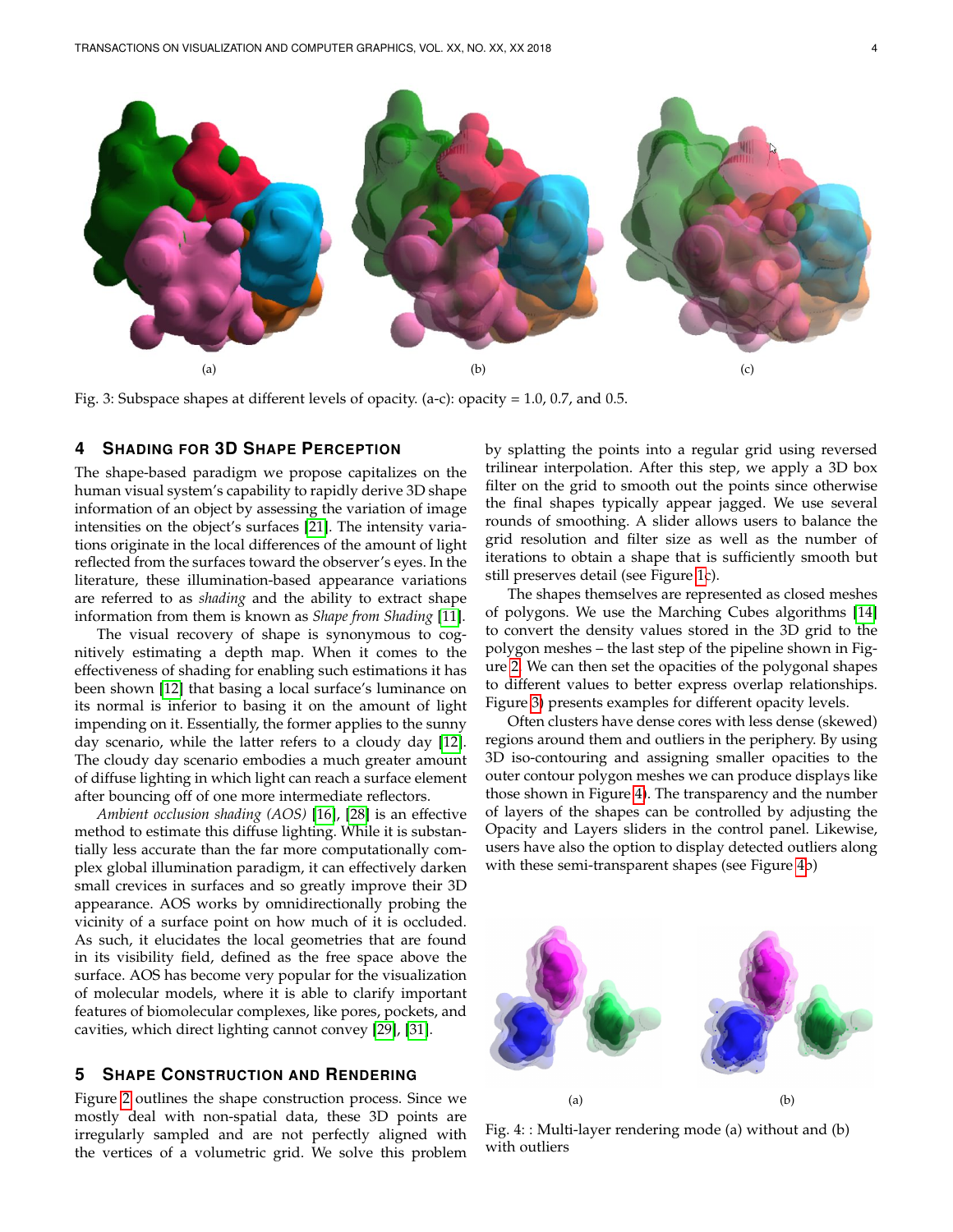<span id="page-3-0"></span>

Fig. 3: Subspace shapes at different levels of opacity. (a-c): opacity = 1.0, 0.7, and 0.5.

# **4 SHADING FOR 3D SHAPE PERCEPTION**

The shape-based paradigm we propose capitalizes on the human visual system's capability to rapidly derive 3D shape information of an object by assessing the variation of image intensities on the object's surfaces [\[21\]](#page-7-30). The intensity variations originate in the local differences of the amount of light reflected from the surfaces toward the observer's eyes. In the literature, these illumination-based appearance variations are referred to as *shading* and the ability to extract shape information from them is known as *Shape from Shading* [\[11\]](#page-7-31).

The visual recovery of shape is synonymous to cognitively estimating a depth map. When it comes to the effectiveness of shading for enabling such estimations it has been shown [\[12\]](#page-7-32) that basing a local surface's luminance on its normal is inferior to basing it on the amount of light impending on it. Essentially, the former applies to the sunny day scenario, while the latter refers to a cloudy day [\[12\]](#page-7-32). The cloudy day scenario embodies a much greater amount of diffuse lighting in which light can reach a surface element after bouncing off of one more intermediate reflectors.

*Ambient occlusion shading (AOS)* [\[16\]](#page-7-33), [\[28\]](#page-7-34) is an effective method to estimate this diffuse lighting. While it is substantially less accurate than the far more computationally complex global illumination paradigm, it can effectively darken small crevices in surfaces and so greatly improve their 3D appearance. AOS works by omnidirectionally probing the vicinity of a surface point on how much of it is occluded. As such, it elucidates the local geometries that are found in its visibility field, defined as the free space above the surface. AOS has become very popular for the visualization of molecular models, where it is able to clarify important features of biomolecular complexes, like pores, pockets, and cavities, which direct lighting cannot convey [\[29\]](#page-7-35), [\[31\]](#page-7-36).

#### **5 SHAPE CONSTRUCTION AND RENDERING**

Figure [2](#page-2-0) outlines the shape construction process. Since we mostly deal with non-spatial data, these 3D points are irregularly sampled and are not perfectly aligned with the vertices of a volumetric grid. We solve this problem

by splatting the points into a regular grid using reversed trilinear interpolation. After this step, we apply a 3D box filter on the grid to smooth out the points since otherwise the final shapes typically appear jagged. We use several rounds of smoothing. A slider allows users to balance the grid resolution and filter size as well as the number of iterations to obtain a shape that is sufficiently smooth but still preserves detail (see Figure [1c](#page-1-0)).

The shapes themselves are represented as closed meshes of polygons. We use the Marching Cubes algorithms [\[14\]](#page-7-26) to convert the density values stored in the 3D grid to the polygon meshes – the last step of the pipeline shown in Figure [2.](#page-2-0) We can then set the opacities of the polygonal shapes to different values to better express overlap relationships. Figure [3\)](#page-3-0) presents examples for different opacity levels.

Often clusters have dense cores with less dense (skewed) regions around them and outliers in the periphery. By using 3D iso-contouring and assigning smaller opacities to the outer contour polygon meshes we can produce displays like those shown in Figure [4\)](#page-3-1). The transparency and the number of layers of the shapes can be controlled by adjusting the Opacity and Layers sliders in the control panel. Likewise, users have also the option to display detected outliers along with these semi-transparent shapes (see Figure [4b](#page-3-1))

<span id="page-3-1"></span>

Fig. 4: : Multi-layer rendering mode (a) without and (b) with outliers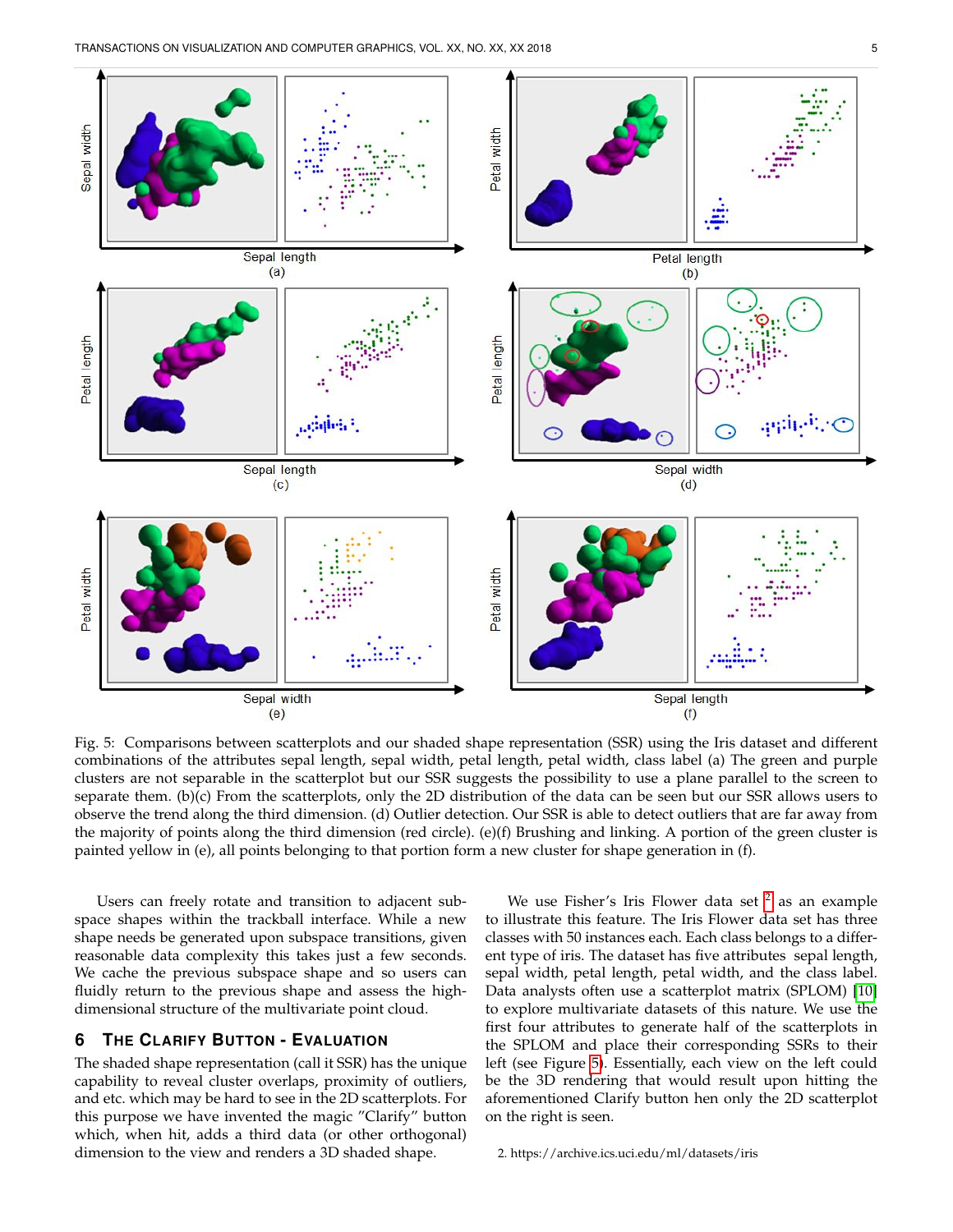<span id="page-4-1"></span>

Fig. 5: Comparisons between scatterplots and our shaded shape representation (SSR) using the Iris dataset and different combinations of the attributes sepal length, sepal width, petal length, petal width, class label (a) The green and purple clusters are not separable in the scatterplot but our SSR suggests the possibility to use a plane parallel to the screen to separate them. (b)(c) From the scatterplots, only the 2D distribution of the data can be seen but our SSR allows users to observe the trend along the third dimension. (d) Outlier detection. Our SSR is able to detect outliers that are far away from the majority of points along the third dimension (red circle). (e)(f) Brushing and linking. A portion of the green cluster is painted yellow in (e), all points belonging to that portion form a new cluster for shape generation in (f).

Users can freely rotate and transition to adjacent subspace shapes within the trackball interface. While a new shape needs be generated upon subspace transitions, given reasonable data complexity this takes just a few seconds. We cache the previous subspace shape and so users can fluidly return to the previous shape and assess the highdimensional structure of the multivariate point cloud.

# **6 THE CLARIFY BUTTON - EVALUATION**

The shaded shape representation (call it SSR) has the unique capability to reveal cluster overlaps, proximity of outliers, and etc. which may be hard to see in the 2D scatterplots. For this purpose we have invented the magic "Clarify" button which, when hit, adds a third data (or other orthogonal) dimension to the view and renders a 3D shaded shape.

We use Fisher's Iris Flower data set  $^2$  $^2$  as an example to illustrate this feature. The Iris Flower data set has three classes with 50 instances each. Each class belongs to a different type of iris. The dataset has five attributes sepal length, sepal width, petal length, petal width, and the class label. Data analysts often use a scatterplot matrix (SPLOM) [\[10\]](#page-7-17) to explore multivariate datasets of this nature. We use the first four attributes to generate half of the scatterplots in the SPLOM and place their corresponding SSRs to their left (see Figure [5\)](#page-4-1). Essentially, each view on the left could be the 3D rendering that would result upon hitting the aforementioned Clarify button hen only the 2D scatterplot on the right is seen.

#### <span id="page-4-0"></span>2. https://archive.ics.uci.edu/ml/datasets/iris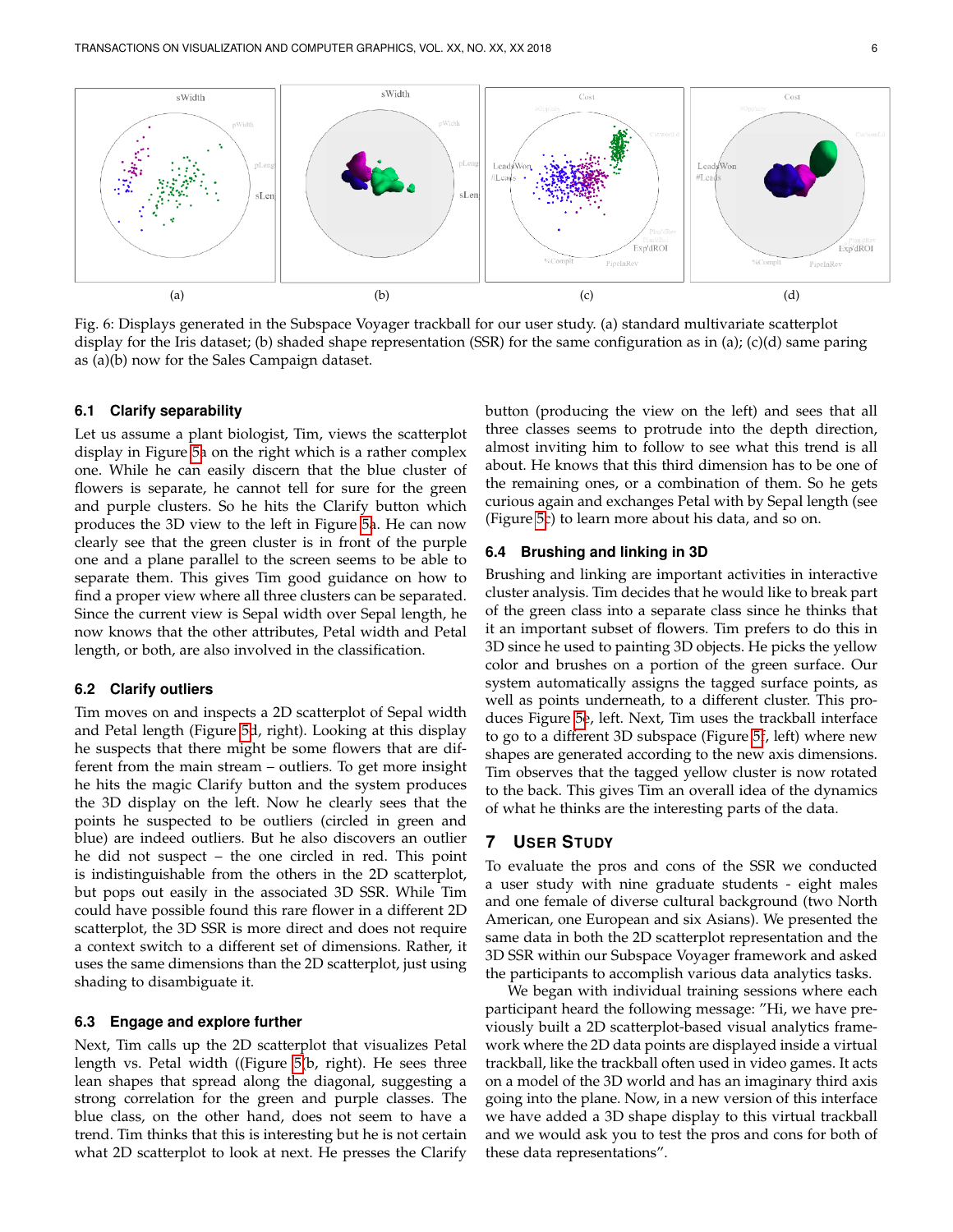<span id="page-5-0"></span>

Fig. 6: Displays generated in the Subspace Voyager trackball for our user study. (a) standard multivariate scatterplot display for the Iris dataset; (b) shaded shape representation (SSR) for the same configuration as in (a); (c)(d) same paring as (a)(b) now for the Sales Campaign dataset.

# **6.1 Clarify separability**

Let us assume a plant biologist, Tim, views the scatterplot display in Figure [5a](#page-4-1) on the right which is a rather complex one. While he can easily discern that the blue cluster of flowers is separate, he cannot tell for sure for the green and purple clusters. So he hits the Clarify button which produces the 3D view to the left in Figure [5a](#page-4-1). He can now clearly see that the green cluster is in front of the purple one and a plane parallel to the screen seems to be able to separate them. This gives Tim good guidance on how to find a proper view where all three clusters can be separated. Since the current view is Sepal width over Sepal length, he now knows that the other attributes, Petal width and Petal length, or both, are also involved in the classification.

#### **6.2 Clarify outliers**

Tim moves on and inspects a 2D scatterplot of Sepal width and Petal length (Figure [5d](#page-4-1), right). Looking at this display he suspects that there might be some flowers that are different from the main stream – outliers. To get more insight he hits the magic Clarify button and the system produces the 3D display on the left. Now he clearly sees that the points he suspected to be outliers (circled in green and blue) are indeed outliers. But he also discovers an outlier he did not suspect – the one circled in red. This point is indistinguishable from the others in the 2D scatterplot, but pops out easily in the associated 3D SSR. While Tim could have possible found this rare flower in a different 2D scatterplot, the 3D SSR is more direct and does not require a context switch to a different set of dimensions. Rather, it uses the same dimensions than the 2D scatterplot, just using shading to disambiguate it.

#### **6.3 Engage and explore further**

Next, Tim calls up the 2D scatterplot that visualizes Petal length vs. Petal width ((Figure [5\(](#page-4-1)b, right). He sees three lean shapes that spread along the diagonal, suggesting a strong correlation for the green and purple classes. The blue class, on the other hand, does not seem to have a trend. Tim thinks that this is interesting but he is not certain what 2D scatterplot to look at next. He presses the Clarify button (producing the view on the left) and sees that all three classes seems to protrude into the depth direction, almost inviting him to follow to see what this trend is all about. He knows that this third dimension has to be one of the remaining ones, or a combination of them. So he gets curious again and exchanges Petal with by Sepal length (see (Figure [5c](#page-4-1)) to learn more about his data, and so on.

#### **6.4 Brushing and linking in 3D**

Brushing and linking are important activities in interactive cluster analysis. Tim decides that he would like to break part of the green class into a separate class since he thinks that it an important subset of flowers. Tim prefers to do this in 3D since he used to painting 3D objects. He picks the yellow color and brushes on a portion of the green surface. Our system automatically assigns the tagged surface points, as well as points underneath, to a different cluster. This produces Figure [5e](#page-4-1), left. Next, Tim uses the trackball interface to go to a different 3D subspace (Figure [5f](#page-4-1), left) where new shapes are generated according to the new axis dimensions. Tim observes that the tagged yellow cluster is now rotated to the back. This gives Tim an overall idea of the dynamics of what he thinks are the interesting parts of the data.

#### **7 USER STUDY**

To evaluate the pros and cons of the SSR we conducted a user study with nine graduate students - eight males and one female of diverse cultural background (two North American, one European and six Asians). We presented the same data in both the 2D scatterplot representation and the 3D SSR within our Subspace Voyager framework and asked the participants to accomplish various data analytics tasks.

We began with individual training sessions where each participant heard the following message: "Hi, we have previously built a 2D scatterplot-based visual analytics framework where the 2D data points are displayed inside a virtual trackball, like the trackball often used in video games. It acts on a model of the 3D world and has an imaginary third axis going into the plane. Now, in a new version of this interface we have added a 3D shape display to this virtual trackball and we would ask you to test the pros and cons for both of these data representations".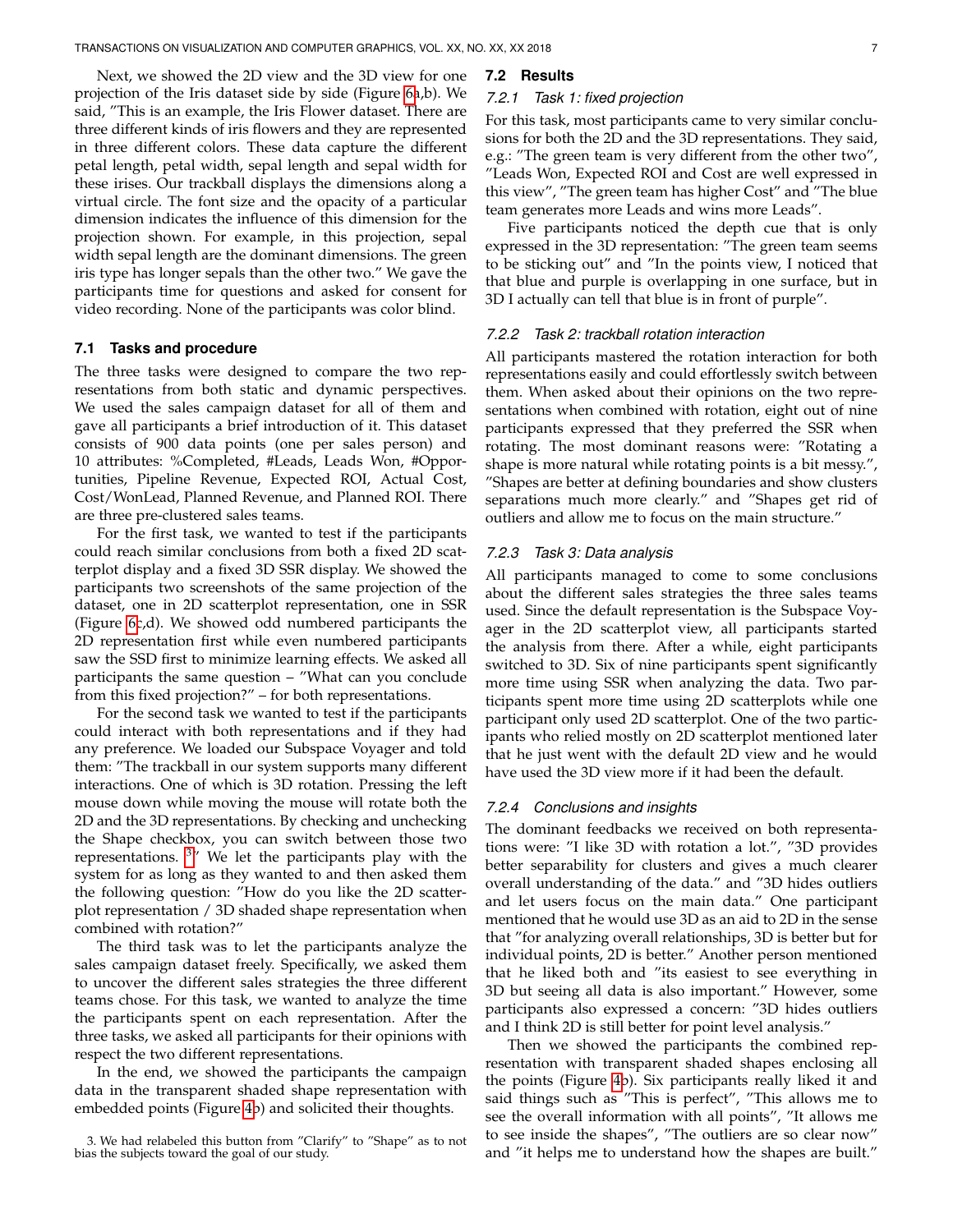Next, we showed the 2D view and the 3D view for one projection of the Iris dataset side by side (Figure [6a](#page-5-0),b). We said, "This is an example, the Iris Flower dataset. There are three different kinds of iris flowers and they are represented in three different colors. These data capture the different petal length, petal width, sepal length and sepal width for these irises. Our trackball displays the dimensions along a virtual circle. The font size and the opacity of a particular dimension indicates the influence of this dimension for the projection shown. For example, in this projection, sepal width sepal length are the dominant dimensions. The green iris type has longer sepals than the other two." We gave the participants time for questions and asked for consent for video recording. None of the participants was color blind.

#### **7.1 Tasks and procedure**

The three tasks were designed to compare the two representations from both static and dynamic perspectives. We used the sales campaign dataset for all of them and gave all participants a brief introduction of it. This dataset consists of 900 data points (one per sales person) and 10 attributes: %Completed, #Leads, Leads Won, #Opportunities, Pipeline Revenue, Expected ROI, Actual Cost, Cost/WonLead, Planned Revenue, and Planned ROI. There are three pre-clustered sales teams.

For the first task, we wanted to test if the participants could reach similar conclusions from both a fixed 2D scatterplot display and a fixed 3D SSR display. We showed the participants two screenshots of the same projection of the dataset, one in 2D scatterplot representation, one in SSR (Figure [6c](#page-5-0),d). We showed odd numbered participants the 2D representation first while even numbered participants saw the SSD first to minimize learning effects. We asked all participants the same question – "What can you conclude from this fixed projection?" – for both representations.

For the second task we wanted to test if the participants could interact with both representations and if they had any preference. We loaded our Subspace Voyager and told them: "The trackball in our system supports many different interactions. One of which is 3D rotation. Pressing the left mouse down while moving the mouse will rotate both the 2D and the 3D representations. By checking and unchecking the Shape checkbox, you can switch between those two representations. <sup>[3](#page-6-0)</sup>" We let the participants play with the system for as long as they wanted to and then asked them the following question: "How do you like the 2D scatterplot representation / 3D shaded shape representation when combined with rotation?"

The third task was to let the participants analyze the sales campaign dataset freely. Specifically, we asked them to uncover the different sales strategies the three different teams chose. For this task, we wanted to analyze the time the participants spent on each representation. After the three tasks, we asked all participants for their opinions with respect the two different representations.

In the end, we showed the participants the campaign data in the transparent shaded shape representation with embedded points (Figure [4b](#page-3-1)) and solicited their thoughts.

# **7.2 Results**

## *7.2.1 Task 1: fixed projection*

For this task, most participants came to very similar conclusions for both the 2D and the 3D representations. They said, e.g.: "The green team is very different from the other two", "Leads Won, Expected ROI and Cost are well expressed in this view", "The green team has higher Cost" and "The blue team generates more Leads and wins more Leads".

Five participants noticed the depth cue that is only expressed in the 3D representation: "The green team seems to be sticking out" and "In the points view, I noticed that that blue and purple is overlapping in one surface, but in 3D I actually can tell that blue is in front of purple".

#### *7.2.2 Task 2: trackball rotation interaction*

All participants mastered the rotation interaction for both representations easily and could effortlessly switch between them. When asked about their opinions on the two representations when combined with rotation, eight out of nine participants expressed that they preferred the SSR when rotating. The most dominant reasons were: "Rotating a shape is more natural while rotating points is a bit messy.", "Shapes are better at defining boundaries and show clusters separations much more clearly." and "Shapes get rid of outliers and allow me to focus on the main structure."

#### *7.2.3 Task 3: Data analysis*

All participants managed to come to some conclusions about the different sales strategies the three sales teams used. Since the default representation is the Subspace Voyager in the 2D scatterplot view, all participants started the analysis from there. After a while, eight participants switched to 3D. Six of nine participants spent significantly more time using SSR when analyzing the data. Two participants spent more time using 2D scatterplots while one participant only used 2D scatterplot. One of the two participants who relied mostly on 2D scatterplot mentioned later that he just went with the default 2D view and he would have used the 3D view more if it had been the default.

#### *7.2.4 Conclusions and insights*

The dominant feedbacks we received on both representations were: "I like 3D with rotation a lot.", "3D provides better separability for clusters and gives a much clearer overall understanding of the data." and "3D hides outliers and let users focus on the main data." One participant mentioned that he would use 3D as an aid to 2D in the sense that "for analyzing overall relationships, 3D is better but for individual points, 2D is better." Another person mentioned that he liked both and "its easiest to see everything in 3D but seeing all data is also important." However, some participants also expressed a concern: "3D hides outliers and I think 2D is still better for point level analysis."

Then we showed the participants the combined representation with transparent shaded shapes enclosing all the points (Figure [4b](#page-3-1)). Six participants really liked it and said things such as "This is perfect", "This allows me to see the overall information with all points", "It allows me to see inside the shapes", "The outliers are so clear now" and "it helps me to understand how the shapes are built."

<span id="page-6-0"></span><sup>3.</sup> We had relabeled this button from "Clarify" to "Shape" as to not bias the subjects toward the goal of our study.